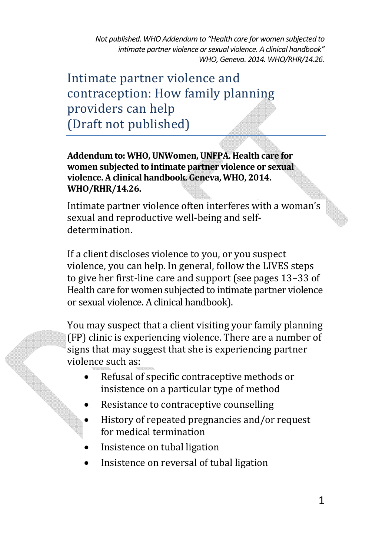Intimate partner violence and contraception: How family planning providers can help (Draft not published)

**Addendum to: WHO, UNWomen, UNFPA. Health care for women subjected to intimate partner violence or sexual violence. A clinical handbook. Geneva, WHO, 2014. WHO/RHR/14.26.** 

Intimate partner violence often interferes with a woman's sexual and reproductive well-being and selfdetermination.

If a client discloses violence to you, or you suspect violence, you can help. In general, follow the LIVES steps to give her first-line care and support (see pages 13-33 of Health care for women subjected to intimate partner violence or sexual violence. A clinical handbook).

You may suspect that a client visiting your family planning (FP) clinic is experiencing violence. There are a number of signs that may suggest that she is experiencing partner violence such as:

- Refusal of specific contraceptive methods or insistence on a particular type of method
- Resistance to contraceptive counselling
- History of repeated pregnancies and/or request for medical termination
- Insistence on tubal ligation
- Insistence on reversal of tubal ligation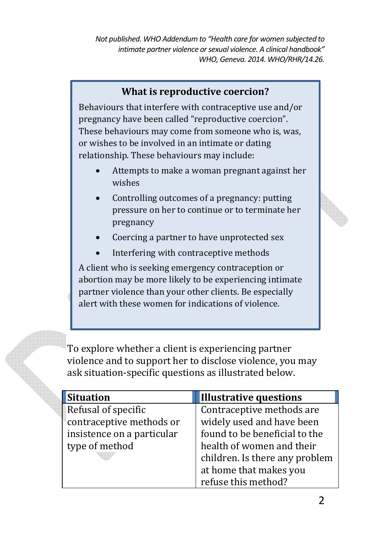## **What is reproductive coercion?**

Behaviours that interfere with contraceptive use and/or pregnancy have been called "reproductive coercion". These behaviours may come from someone who is, was, or wishes to be involved in an intimate or dating relationship. These behaviours may include:

- Attempts to make a woman pregnant against her wishes
- Controlling outcomes of a pregnancy: putting pressure on her to continue or to terminate her pregnancy
- Coercing a partner to have unprotected sex
- Interfering with contraceptive methods

A client who is seeking emergency contraception or abortion may be more likely to be experiencing intimate partner violence than your other clients. Be especially alert with these women for indications of violence.

To explore whether a client is experiencing partner violence and to support her to disclose violence, you may ask situation-specific questions as illustrated below.

| <b>Situation</b>           | <b>Illustrative questions</b>  |
|----------------------------|--------------------------------|
| Refusal of specific        | Contraceptive methods are      |
| contraceptive methods or   | widely used and have been      |
| insistence on a particular | found to be beneficial to the  |
| type of method             | health of women and their      |
|                            | children. Is there any problem |
|                            | at home that makes you         |
|                            | refuse this method?            |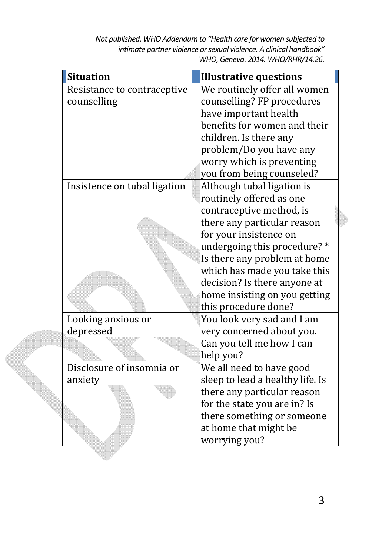| <b>Situation</b>             | <b>Illustrative questions</b>    |  |
|------------------------------|----------------------------------|--|
| Resistance to contraceptive  | We routinely offer all women     |  |
| counselling                  | counselling? FP procedures       |  |
|                              | have important health            |  |
|                              | benefits for women and their     |  |
|                              | children. Is there any           |  |
|                              | problem/Do you have any          |  |
|                              | worry which is preventing        |  |
|                              | you from being counseled?        |  |
| Insistence on tubal ligation | Although tubal ligation is       |  |
|                              | routinely offered as one         |  |
|                              | contraceptive method, is         |  |
|                              | there any particular reason      |  |
|                              | for your insistence on           |  |
|                              | undergoing this procedure?*      |  |
|                              | Is there any problem at home     |  |
|                              | which has made you take this     |  |
|                              | decision? Is there anyone at     |  |
|                              | home insisting on you getting    |  |
|                              | this procedure done?             |  |
| Looking anxious or           | You look very sad and I am       |  |
| depressed                    | very concerned about you.        |  |
|                              | Can you tell me how I can        |  |
|                              | help you?                        |  |
| Disclosure of insomnia or    | We all need to have good         |  |
| anxiety                      | sleep to lead a healthy life. Is |  |
|                              | there any particular reason      |  |
|                              | for the state you are in? Is     |  |
|                              | there something or someone       |  |
|                              | at home that might be            |  |
|                              | worrying you?                    |  |
|                              |                                  |  |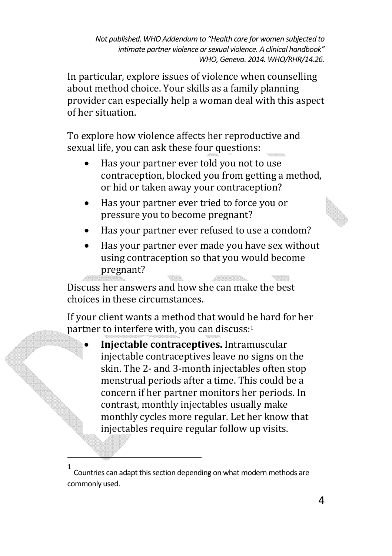In particular, explore issues of violence when counselling about method choice. Your skills as a family planning provider can especially help a woman deal with this aspect of her situation.

To explore how violence affects her reproductive and sexual life, you can ask these four questions:

- Has your partner ever told you not to use contraception, blocked you from getting a method, or hid or taken away your contraception?
- Has your partner ever tried to force you or pressure you to become pregnant?
- Has your partner ever refused to use a condom?
- Has your partner ever made you have sex without using contraception so that you would become pregnant?

Discuss her answers and how she can make the best choices in these circumstances.

If your client wants a method that would be hard for her partner to interfere with, you can discuss:<sup>1</sup>

• Injectable contraceptives. Intramuscular injectable contraceptives leave no signs on the skin. The 2- and 3-month injectables often stop menstrual periods after a time. This could be a concern if her partner monitors her periods. In contrast, monthly injectables usually make monthly cycles more regular. Let her know that injectables require regular follow up visits.

<u>.</u>

<sup>1</sup> Countries can adapt this section depending on what modern methods are commonly used.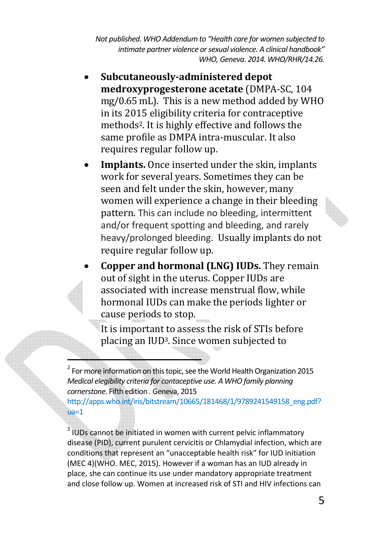- **Subcutaneously-administered depot medroxyprogesterone acetate** (DMPA-SC, 104 mg/0.65 mL). This is a new method added by WHO in its 2015 eligibility criteria for contraceptive methods<sup>2</sup>. It is highly effective and follows the same profile as DMPA intra-muscular. It also requires regular follow up.
- Implants. Once inserted under the skin, implants work for several years. Sometimes they can be seen and felt under the skin, however, many women will experience a change in their bleeding pattern. This can include no bleeding, intermittent and/or frequent spotting and bleeding, and rarely heavy/prolonged bleeding. Usually implants do not require regular follow up.
- Copper and hormonal (LNG) IUDs. They remain out of sight in the uterus. Copper IUDs are associated with increase menstrual flow, while hormonal IUDs can make the periods lighter or cause periods to stop.

It is important to assess the risk of STIs before placing an IUD<sup>3</sup>. Since women subjected to

<u>.</u>

http://apps.who.int/iris/bitstream/10665/181468/1/9789241549158\_eng.pdf?  $ua=1$ 

<sup>3</sup> IUDs cannot be initiated in women with current pelvic inflammatory disease (PID), current purulent cervicitis or Chlamydial infection, which are conditions that represent an "unacceptable health risk" for IUD initiation (MEC 4)(WHO. MEC, 2015). However if a woman has an IUD already in place, she can continue its use under mandatory appropriate treatment and close follow up. Women at increased risk of STI and HIV infections can

 $2^{2}$  For more information on this topic, see the World Health Organization 2015 *Medical elegibility criteria for contaceptive use. A WHO family planning cornerstone.* Fifth edition *.* Geneva, 2015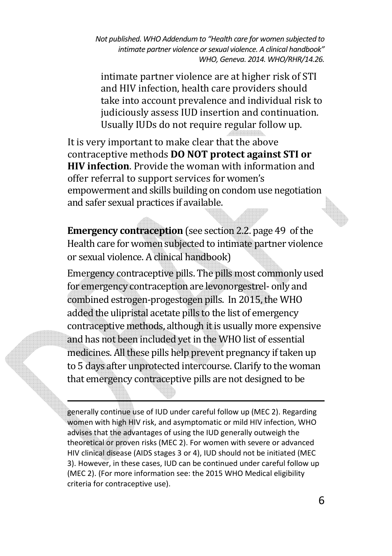intimate partner violence are at higher risk of STI and HIV infection, health care providers should take into account prevalence and individual risk to judiciously assess IUD insertion and continuation. Usually IUDs do not require regular follow up.

It is very important to make clear that the above contraceptive methods **DO NOT protect against STI or HIV infection**. Provide the woman with information and offer referral to support services for women's empowerment and skills building on condom use negotiation and safer sexual practices if available.

**Emergency contraception** (see section 2.2. page 49 of the Health care for women subjected to intimate partner violence or sexual violence. A clinical handbook)

Emergency contraceptive pills. The pills most commonly used for emergency contraception are levonorgestrel- only and combined estrogen-progestogen pills. In 2015, the WHO added the ulipristal acetate pills to the list of emergency contraceptive methods, although it is usually more expensive and has not been included yet in the WHO list of essential medicines. All these pills help prevent pregnancy if taken up to 5 days after unprotected intercourse. Clarify to the woman that emergency contraceptive pills are not designed to be

generally continue use of IUD under careful follow up (MEC 2). Regarding women with high HIV risk, and asymptomatic or mild HIV infection, WHO advises that the advantages of using the IUD generally outweigh the theoretical or proven risks (MEC 2). For women with severe or advanced HIV clinical disease (AIDS stages 3 or 4), IUD should not be initiated (MEC 3). However, in these cases, IUD can be continued under careful follow up (MEC 2). (For more information see: the 2015 WHO Medical eligibility criteria for contraceptive use).

1